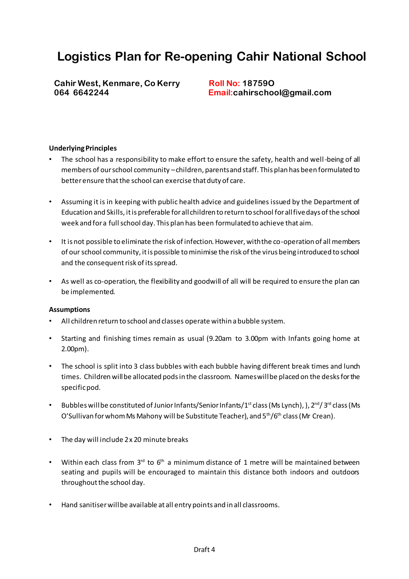# **Logistics Plan for Re-opening Cahir National School**

Cahir West, Kenmare, Co Kerry Roll No: 187590  **064 6642244 Email:cahirschool@gmail.com**

#### **Underlying Principles**

- The school has a responsibility to make effort to ensure the safety, health and well-being of all members of our school community –children, parents and staff. This plan has been formulated to better ensure that the school can exercise that duty of care.
- Assuming it is in keeping with public health advice and guidelines issued by the Department of Education and Skills, it is preferable for all children to return to school for all five days of the school week and for a full school day. This plan has been formulated to achieve that aim.
- It is not possible to eliminate the risk of infection. However, with the co-operation of all members of our school community, it is possible to minimise the risk of the virus being introduced to school and the consequent risk of its spread.
- As well as co-operation, the flexibility and goodwill of all will be required to ensure the plan can be implemented.

#### **Assumptions**

- All children return to school and classes operate within a bubble system.
- Starting and finishing times remain as usual (9.20am to 3.00pm with Infants going home at 2.00pm).
- The school is split into 3 class bubbles with each bubble having different break times and lunch times. Children will be allocated pods in the classroom. Names will be placed on the desks for the specific pod.
- Bubbles will be constituted of Junior Infants/Senior Infants/1st class (Ms Lynch), ), 2<sup>nd</sup>/3<sup>rd</sup> class (Ms O'Sullivan for whom Ms Mahony will be Substitute Teacher), and  $5<sup>th</sup>/6<sup>th</sup>$  class (Mr Crean).
- The day will include 2 x 20 minute breaks
- Within each class from  $3^{rd}$  to  $6^{th}$  a minimum distance of 1 metre will be maintained between seating and pupils will be encouraged to maintain this distance both indoors and outdoors throughout the school day.
- Hand sanitiser will be available at all entry points and in all classrooms.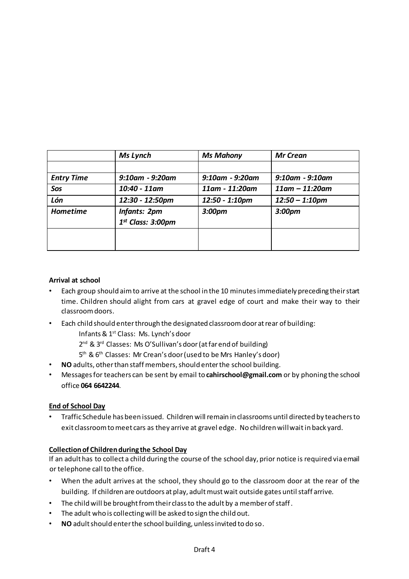|                   | Ms Lynch              | <b>Ms Mahony</b>      | Mr Crean              |
|-------------------|-----------------------|-----------------------|-----------------------|
|                   |                       |                       |                       |
| <b>Entry Time</b> | $9:10$ am - $9:20$ am | $9:10$ am - $9:20$ am | $9:10$ am - $9:10$ am |
| Sos               | 10:40 - 11am          | 11am - 11:20am        | $11$ am – $11:20$ am  |
| Lón               | 12:30 - 12:50pm       | 12:50 - 1:10pm        | $12:50 - 1:10$ pm     |
| <b>Hometime</b>   | <b>Infants: 2pm</b>   | 3:00 <sub>pm</sub>    | 3:00pm                |
|                   | $1st$ Class: 3:00pm   |                       |                       |
|                   |                       |                       |                       |
|                   |                       |                       |                       |

#### **Arrival at school**

- Each group should aim to arrive at the school in the 10 minutes immediately preceding their start time. Children should alight from cars at gravel edge of court and make their way to their classroom doors.
- Each child should enter through the designated classroom door at rear of building: Infants & 1st Class: Ms. Lynch's door
	- 2<sup>nd</sup> & 3<sup>rd</sup> Classes: Ms O'Sullivan's door (at far end of building)
	- 5 th & 6th Classes: Mr Crean's door (used to be Mrs Hanley's door)
- **NO** adults, other than staff members, should enter the school building.
- Messages for teachers can be sent by email to **cahirschool@gmail.com** or by phoning the school office **064 6642244**.

## **End of School Day**

• Traffic Schedule has been issued. Children will remain in classrooms until directed by teachers to exit classroom to meet cars as they arrive at gravel edge. No children will wait in back yard.

## **Collection of Children during the School Day**

If an adult has to collect a child during the course of the school day, prior notice is required via email or telephone call to the office.

- When the adult arrives at the school, they should go to the classroom door at the rear of the building. If children are outdoors at play, adult must wait outside gates until staff arrive.
- The child will be brought from their class to the adult by a member of staff.
- The adult who is collecting will be asked to sign the child out.
- **NO** adult should enter the school building, unless invited to do so.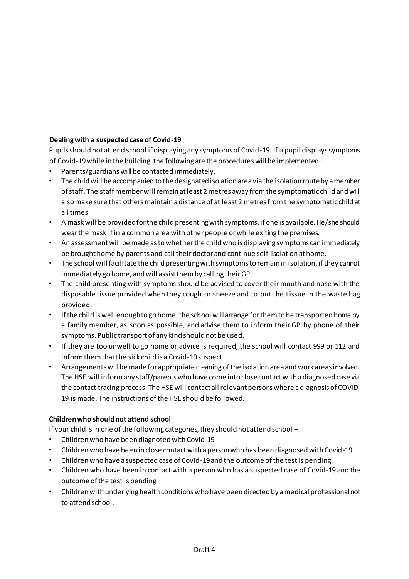## **Dealing with a suspected case of Covid-19**

Pupils should not attend school if displaying any symptoms of Covid-19. If a pupil displays symptoms of Covid-19 while in the building, the following are the procedures will be implemented:

- Parents/guardians will be contacted immediately.
- The child will be accompanied to the designated isolation area via the isolation route by a member of staff. The staff member will remain at least 2 metres away from the symptomatic child and will also make sure that others maintain a distance of at least 2 metres from the symptomatic child at all times.
- A mask will be provided for the child presenting with symptoms, if one is available. He/she should wear the mask if in a common area with other people or while exiting the premises.
- An assessment will be made as to whether the child who is displaying symptoms can immediately be brought home by parents and call their doctor and continue self-isolation at home.
- The school will facilitate the child presenting with symptoms to remain in isolation, if they cannot immediately go home, and will assist them by calling their GP.
- The child presenting with symptoms should be advised to cover their mouth and nose with the disposable tissue provided when they cough or sneeze and to put the tissue in the waste bag provided.
- If the child is well enough to go home, the school will arrange for them to be transported home by a family member, as soon as possible, and advise them to inform their GP by phone of their symptoms. Public transport of any kind should not be used.
- If they are too unwell to go home or advice is required, the school will contact 999 or 112 and inform them that the sick child is a Covid-19 suspect.
- Arrangements will be made for appropriate cleaning of the isolation area and work areas involved. The HSE will inform any staff/parents who have come into close contact with a diagnosed case via the contact tracing process. The HSE will contact all relevant persons where a diagnosis of COVID-19 is made. The instructions of the HSE should be followed.

## **Children who should not attend school**

If your child is in one of the following categories, they should not attend school –

- Children who have been diagnosed with Covid-19
- Children who have been in close contact with a person who has been diagnosed with Covid-19
- Children who have a suspected case of Covid-19 and the outcome of the test is pending
- Children who have been in contact with a person who has a suspected case of Covid-19 and the outcome of the test is pending
- Children with underlying health conditions who have been directed by a medical professional not to attend school.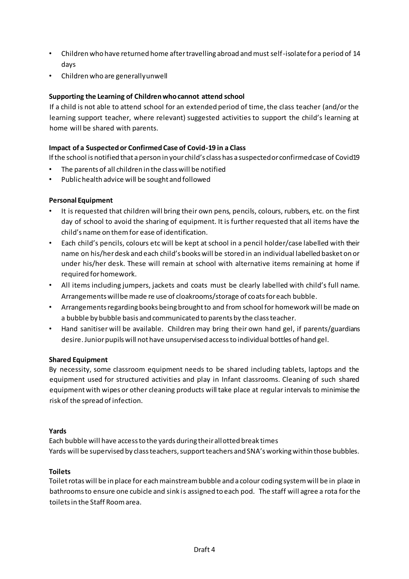- Children who have returned home after travelling abroad and must self-isolate for a period of 14 days
- Children who are generally unwell

## **Supporting the Learning of Children who cannot attend school**

If a child is not able to attend school for an extended period of time, the class teacher (and/or the learning support teacher, where relevant) suggested activities to support the child's learning at home will be shared with parents.

### **Impact of a Suspected or Confirmed Case of Covid-19 in a Class**

If the school is notified that a person in your child's class has a suspected or confirmed case of Covid19

- The parents of all children in the class will be notified
- Public health advice will be sought and followed

#### **Personal Equipment**

- It is requested that children will bring their own pens, pencils, colours, rubbers, etc. on the first day of school to avoid the sharing of equipment. It is further requested that all items have the child's name on them for ease of identification.
- Each child's pencils, colours etc will be kept at school in a pencil holder/case labelled with their name on his/her desk and each child's books will be stored in an individual labelled basket on or under his/her desk. These will remain at school with alternative items remaining at home if required for homework.
- All items including jumpers, jackets and coats must be clearly labelled with child's full name. Arrangements will be made re use of cloakrooms/storage of coats for each bubble.
- Arrangements regarding books being brought to and from school for homework will be made on a bubble by bubble basis and communicated to parents by the class teacher.
- Hand sanitiser will be available. Children may bring their own hand gel, if parents/guardians desire. Junior pupils will not have unsupervised access to individual bottles of hand gel.

#### **Shared Equipment**

By necessity, some classroom equipment needs to be shared including tablets, laptops and the equipment used for structured activities and play in Infant classrooms. Cleaning of such shared equipment with wipes or other cleaning products will take place at regular intervals to minimise the risk of the spread of infection.

#### **Yards**

Each bubble will have access to the yards during their allotted break times Yards will be supervised by class teachers, support teachers and SNA's working within those bubbles.

#### **Toilets**

Toilet rotas will be in place for each mainstream bubble and a colour coding system will be in place in bathrooms to ensure one cubicle and sink is assigned to each pod. The staff will agree a rota for the toilets in the Staff Room area.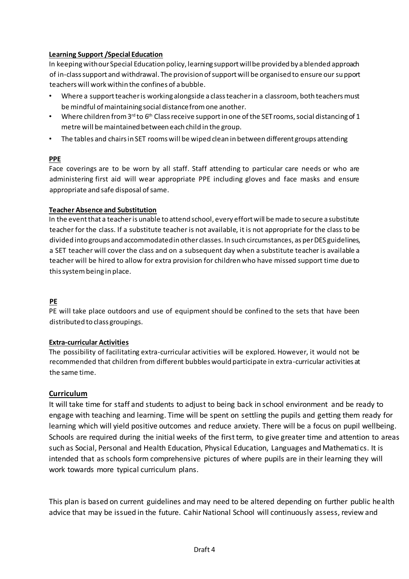### **Learning Support /Special Education**

In keeping with our Special Education policy, learning support will be provided by a blended approach of in-class support and withdrawal. The provision of support will be organised to ensure our support teachers will work within the confines of a bubble.

- Where a support teacher is working alongside a class teacher in a classroom, both teachers must be mindful of maintaining social distance from one another.
- Where children from  $3^{rd}$  to  $6^{th}$  Class receive support in one of the SET rooms, social distancing of 1 metre will be maintained between each child in the group.
- The tables and chairs in SET rooms will be wiped clean in between different groups attending

#### **PPE**

Face coverings are to be worn by all staff. Staff attending to particular care needs or who are administering first aid will wear appropriate PPE including gloves and face masks and ensure appropriate and safe disposal of same.

#### **Teacher Absence and Substitution**

In the event that a teacher is unable to attend school, every effort will be made to secure a substitute teacher for the class. If a substitute teacher is not available, it is not appropriate for the class to be divided into groups and accommodated in other classes. In such circumstances, as per DES guidelines, a SET teacher will cover the class and on a subsequent day when a substitute teacher is available a teacher will be hired to allow for extra provision for children who have missed support time due to this system being in place.

## **PE**

PE will take place outdoors and use of equipment should be confined to the sets that have been distributed to class groupings.

## **Extra-curricular Activities**

The possibility of facilitating extra-curricular activities will be explored. However, it would not be recommended that children from different bubbles would participate in extra-curricular activities at the same time.

## **Curriculum**

It will take time for staff and students to adjust to being back in school environment and be ready to engage with teaching and learning. Time will be spent on settling the pupils and getting them ready for learning which will yield positive outcomes and reduce anxiety. There will be a focus on pupil wellbeing. Schools are required during the initial weeks of the first term, to give greater time and attention to areas such as Social, Personal and Health Education, Physical Education, Languages and Mathemati cs. It is intended that as schools form comprehensive pictures of where pupils are in their learning they will work towards more typical curriculum plans.

This plan is based on current guidelines and may need to be altered depending on further public health advice that may be issued in the future. Cahir National School will continuously assess, review and